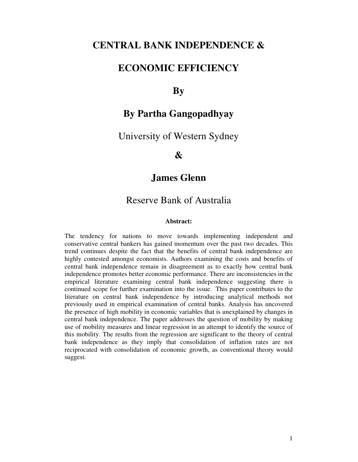### **CENTRAL BANK INDEPENDENCE &**

## **ECONOMIC EFFICIENCY**

## **By**

# **By Partha Gangopadhyay**

University of Western Sydney

### **&**

### **James Glenn**

# Reserve Bank of Australia

#### **Abstract:**

The tendency for nations to move towards implementing independent and conservative central bankers has gained momentum over the past two decades. This trend continues despite the fact that the benefits of central bank independence are highly contested amongst economists. Authors examining the costs and benefits of central bank independence remain in disagreement as to exactly how central bank independence promotes better economic performance. There are inconsistencies in the empirical literature examining central bank independence suggesting there is continued scope for further examination into the issue. This paper contributes to the literature on central bank independence by introducing analytical methods not previously used in empirical examination of central banks. Analysis has uncovered the presence of high mobility in economic variables that is unexplained by changes in central bank independence. The paper addresses the question of mobility by making use of mobility measures and linear regression in an attempt to identify the source of this mobility. The results from the regression are significant to the theory of central bank independence as they imply that consolidation of inflation rates are not reciprocated with consolidation of economic growth, as conventional theory would suggest.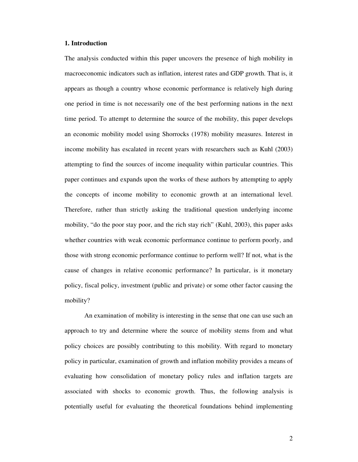#### **1. Introduction**

The analysis conducted within this paper uncovers the presence of high mobility in macroeconomic indicators such as inflation, interest rates and GDP growth. That is, it appears as though a country whose economic performance is relatively high during one period in time is not necessarily one of the best performing nations in the next time period. To attempt to determine the source of the mobility, this paper develops an economic mobility model using Shorrocks (1978) mobility measures. Interest in income mobility has escalated in recent years with researchers such as Kuhl (2003) attempting to find the sources of income inequality within particular countries. This paper continues and expands upon the works of these authors by attempting to apply the concepts of income mobility to economic growth at an international level. Therefore, rather than strictly asking the traditional question underlying income mobility, "do the poor stay poor, and the rich stay rich" (Kuhl, 2003), this paper asks whether countries with weak economic performance continue to perform poorly, and those with strong economic performance continue to perform well? If not, what is the cause of changes in relative economic performance? In particular, is it monetary policy, fiscal policy, investment (public and private) or some other factor causing the mobility?

An examination of mobility is interesting in the sense that one can use such an approach to try and determine where the source of mobility stems from and what policy choices are possibly contributing to this mobility. With regard to monetary policy in particular, examination of growth and inflation mobility provides a means of evaluating how consolidation of monetary policy rules and inflation targets are associated with shocks to economic growth. Thus, the following analysis is potentially useful for evaluating the theoretical foundations behind implementing

2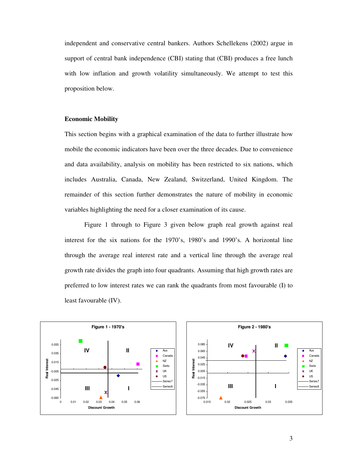independent and conservative central bankers. Authors Schellekens (2002) argue in support of central bank independence (CBI) stating that (CBI) produces a free lunch with low inflation and growth volatility simultaneously. We attempt to test this proposition below.

#### **Economic Mobility**

This section begins with a graphical examination of the data to further illustrate how mobile the economic indicators have been over the three decades. Due to convenience and data availability, analysis on mobility has been restricted to six nations, which includes Australia, Canada, New Zealand, Switzerland, United Kingdom. The remainder of this section further demonstrates the nature of mobility in economic variables highlighting the need for a closer examination of its cause.

Figure 1 through to Figure 3 given below graph real growth against real interest for the six nations for the 1970's, 1980's and 1990's. A horizontal line through the average real interest rate and a vertical line through the average real growth rate divides the graph into four quadrants. Assuming that high growth rates are preferred to low interest rates we can rank the quadrants from most favourable (I) to least favourable (IV).



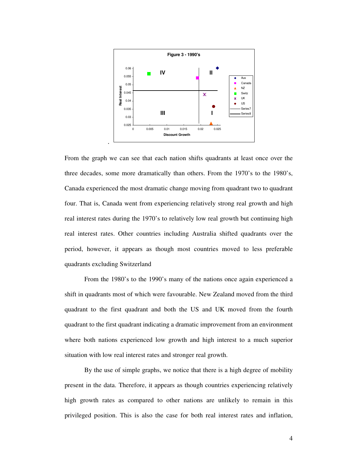

From the graph we can see that each nation shifts quadrants at least once over the three decades, some more dramatically than others. From the 1970's to the 1980's, Canada experienced the most dramatic change moving from quadrant two to quadrant four. That is, Canada went from experiencing relatively strong real growth and high real interest rates during the 1970's to relatively low real growth but continuing high real interest rates. Other countries including Australia shifted quadrants over the period, however, it appears as though most countries moved to less preferable quadrants excluding Switzerland

From the 1980's to the 1990's many of the nations once again experienced a shift in quadrants most of which were favourable. New Zealand moved from the third quadrant to the first quadrant and both the US and UK moved from the fourth quadrant to the first quadrant indicating a dramatic improvement from an environment where both nations experienced low growth and high interest to a much superior situation with low real interest rates and stronger real growth.

By the use of simple graphs, we notice that there is a high degree of mobility present in the data. Therefore, it appears as though countries experiencing relatively high growth rates as compared to other nations are unlikely to remain in this privileged position. This is also the case for both real interest rates and inflation,

4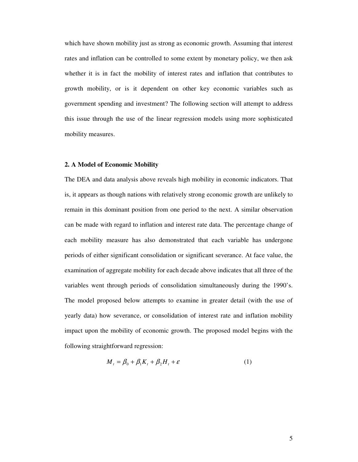which have shown mobility just as strong as economic growth. Assuming that interest rates and inflation can be controlled to some extent by monetary policy, we then ask whether it is in fact the mobility of interest rates and inflation that contributes to growth mobility, or is it dependent on other key economic variables such as government spending and investment? The following section will attempt to address this issue through the use of the linear regression models using more sophisticated mobility measures.

#### **2. A Model of Economic Mobility**

The DEA and data analysis above reveals high mobility in economic indicators. That is, it appears as though nations with relatively strong economic growth are unlikely to remain in this dominant position from one period to the next. A similar observation can be made with regard to inflation and interest rate data. The percentage change of each mobility measure has also demonstrated that each variable has undergone periods of either significant consolidation or significant severance. At face value, the examination of aggregate mobility for each decade above indicates that all three of the variables went through periods of consolidation simultaneously during the 1990's. The model proposed below attempts to examine in greater detail (with the use of yearly data) how severance, or consolidation of interest rate and inflation mobility impact upon the mobility of economic growth. The proposed model begins with the following straightforward regression:

$$
M_t = \beta_0 + \beta_1 K_t + \beta_2 H_t + \varepsilon \tag{1}
$$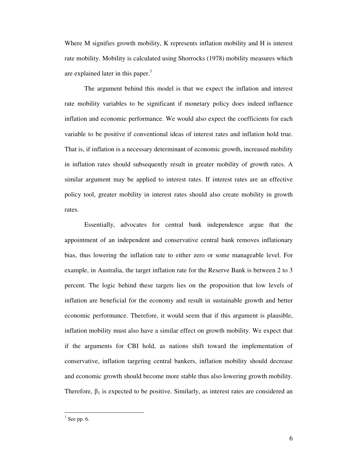Where M signifies growth mobility, K represents inflation mobility and H is interest rate mobility. Mobility is calculated using Shorrocks (1978) mobility measures which are explained later in this paper.<sup>1</sup>

The argument behind this model is that we expect the inflation and interest rate mobility variables to be significant if monetary policy does indeed influence inflation and economic performance. We would also expect the coefficients for each variable to be positive if conventional ideas of interest rates and inflation hold true. That is, if inflation is a necessary determinant of economic growth, increased mobility in inflation rates should subsequently result in greater mobility of growth rates. A similar argument may be applied to interest rates. If interest rates are an effective policy tool, greater mobility in interest rates should also create mobility in growth rates.

Essentially, advocates for central bank independence argue that the appointment of an independent and conservative central bank removes inflationary bias, thus lowering the inflation rate to either zero or some manageable level. For example, in Australia, the target inflation rate for the Reserve Bank is between 2 to 3 percent. The logic behind these targets lies on the proposition that low levels of inflation are beneficial for the economy and result in sustainable growth and better economic performance. Therefore, it would seem that if this argument is plausible, inflation mobility must also have a similar effect on growth mobility. We expect that if the arguments for CBI hold, as nations shift toward the implementation of conservative, inflation targeting central bankers, inflation mobility should decrease and economic growth should become more stable thus also lowering growth mobility. Therefore,  $\beta_1$  is expected to be positive. Similarly, as interest rates are considered an

 $<sup>1</sup>$  See pp. 6.</sup>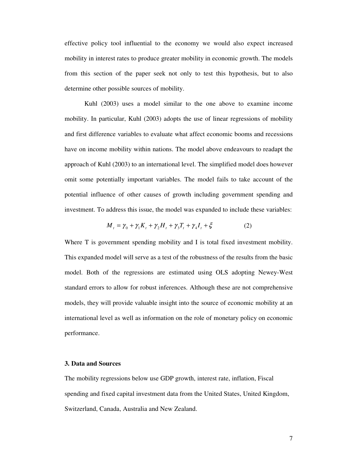effective policy tool influential to the economy we would also expect increased mobility in interest rates to produce greater mobility in economic growth. The models from this section of the paper seek not only to test this hypothesis, but to also determine other possible sources of mobility.

Kuhl (2003) uses a model similar to the one above to examine income mobility. In particular, Kuhl (2003) adopts the use of linear regressions of mobility and first difference variables to evaluate what affect economic booms and recessions have on income mobility within nations. The model above endeavours to readapt the approach of Kuhl (2003) to an international level. The simplified model does however omit some potentially important variables. The model fails to take account of the potential influence of other causes of growth including government spending and investment. To address this issue, the model was expanded to include these variables:

$$
M_{t} = \gamma_{0} + \gamma_{1} K_{t} + \gamma_{2} H_{t} + \gamma_{3} T_{t} + \gamma_{4} I_{t} + \xi
$$
 (2)

Where T is government spending mobility and I is total fixed investment mobility. This expanded model will serve as a test of the robustness of the results from the basic model. Both of the regressions are estimated using OLS adopting Newey-West standard errors to allow for robust inferences. Although these are not comprehensive models, they will provide valuable insight into the source of economic mobility at an international level as well as information on the role of monetary policy on economic performance.

#### **3. Data and Sources**

The mobility regressions below use GDP growth, interest rate, inflation, Fiscal spending and fixed capital investment data from the United States, United Kingdom, Switzerland, Canada, Australia and New Zealand.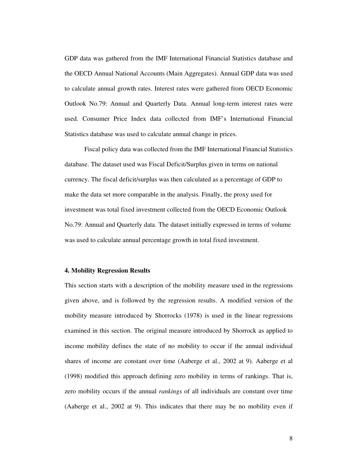GDP data was gathered from the IMF International Financial Statistics database and the OECD Annual National Accounts (Main Aggregates). Annual GDP data was used to calculate annual growth rates. Interest rates were gathered from OECD Economic Outlook No.79: Annual and Quarterly Data. Annual long-term interest rates were used. Consumer Price Index data collected from IMF's International Financial Statistics database was used to calculate annual change in prices.

Fiscal policy data was collected from the IMF International Financial Statistics database. The dataset used was Fiscal Deficit/Surplus given in terms on national currency. The fiscal deficit/surplus was then calculated as a percentage of GDP to make the data set more comparable in the analysis. Finally, the proxy used for investment was total fixed investment collected from the OECD Economic Outlook No.79: Annual and Quarterly data. The dataset initially expressed in terms of volume was used to calculate annual percentage growth in total fixed investment.

#### **4. Mobility Regression Results**

This section starts with a description of the mobility measure used in the regressions given above, and is followed by the regression results. A modified version of the mobility measure introduced by Shorrocks (1978) is used in the linear regressions examined in this section. The original measure introduced by Shorrock as applied to income mobility defines the state of no mobility to occur if the annual individual shares of income are constant over time (Aaberge et al., 2002 at 9). Aaberge et al (1998) modified this approach defining zero mobility in terms of rankings. That is, zero mobility occurs if the annual *rankings* of all individuals are constant over time (Aaberge et al., 2002 at 9). This indicates that there may be no mobility even if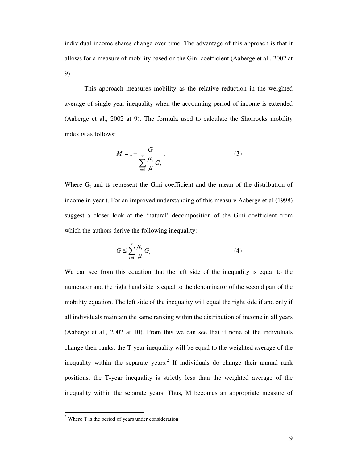individual income shares change over time. The advantage of this approach is that it allows for a measure of mobility based on the Gini coefficient (Aaberge et al., 2002 at 9).

This approach measures mobility as the relative reduction in the weighted average of single-year inequality when the accounting period of income is extended (Aaberge et al., 2002 at 9). The formula used to calculate the Shorrocks mobility index is as follows:

$$
M = 1 - \frac{G}{\sum_{t=1}^{T} \frac{\mu_t}{\mu} G_t},
$$
\n(3)

Where  $G_t$  and  $\mu_t$  represent the Gini coefficient and the mean of the distribution of income in year t. For an improved understanding of this measure Aaberge et al (1998) suggest a closer look at the 'natural' decomposition of the Gini coefficient from which the authors derive the following inequality:

$$
G \le \sum_{t=1}^{T} \frac{\mu_t}{\mu} G_t \tag{4}
$$

We can see from this equation that the left side of the inequality is equal to the numerator and the right hand side is equal to the denominator of the second part of the mobility equation. The left side of the inequality will equal the right side if and only if all individuals maintain the same ranking within the distribution of income in all years (Aaberge et al., 2002 at 10). From this we can see that if none of the individuals change their ranks, the T-year inequality will be equal to the weighted average of the inequality within the separate years.<sup>2</sup> If individuals do change their annual rank positions, the T-year inequality is strictly less than the weighted average of the inequality within the separate years. Thus, M becomes an appropriate measure of

 $2$  Where T is the period of years under consideration.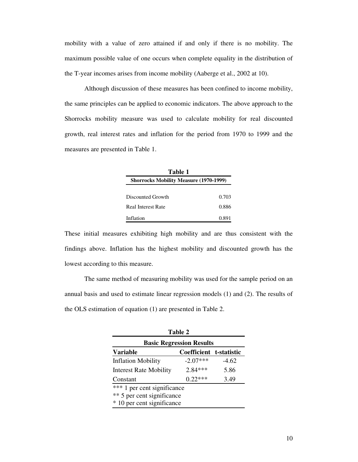mobility with a value of zero attained if and only if there is no mobility. The maximum possible value of one occurs when complete equality in the distribution of the T-year incomes arises from income mobility (Aaberge et al., 2002 at 10).

Although discussion of these measures has been confined to income mobility, the same principles can be applied to economic indicators. The above approach to the Shorrocks mobility measure was used to calculate mobility for real discounted growth, real interest rates and inflation for the period from 1970 to 1999 and the measures are presented in Table 1.

| Table 1                                        |                |  |  |
|------------------------------------------------|----------------|--|--|
| <b>Shorrocks Mobility Measure (1970-1999)</b>  |                |  |  |
| Discounted Growth<br><b>Real Interest Rate</b> | 0.703<br>0.886 |  |  |
| Inflation                                      | 0.891          |  |  |

These initial measures exhibiting high mobility and are thus consistent with the findings above. Inflation has the highest mobility and discounted growth has the lowest according to this measure.

The same method of measuring mobility was used for the sample period on an annual basis and used to estimate linear regression models (1) and (2). The results of the OLS estimation of equation (1) are presented in Table 2.

| Table 2                         |                         |         |  |  |
|---------------------------------|-------------------------|---------|--|--|
| <b>Basic Regression Results</b> |                         |         |  |  |
| <b>Variable</b>                 | Coefficient t-statistic |         |  |  |
| <b>Inflation Mobility</b>       | $-2.07***$              | $-4.62$ |  |  |
| <b>Interest Rate Mobility</b>   | $2.84***$               | 5.86    |  |  |
| Constant                        | $0.22***$               | 3.49    |  |  |
| *** 1 per cent significance     |                         |         |  |  |
| ** 5 per cent significance      |                         |         |  |  |
| * 10 per cent significance      |                         |         |  |  |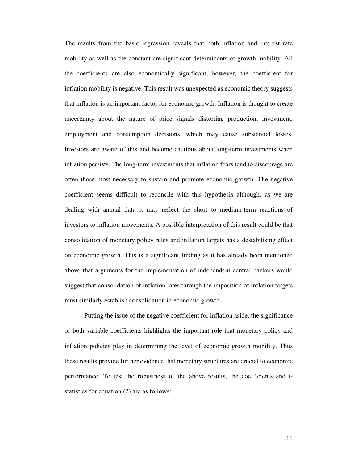The results from the basic regression reveals that both inflation and interest rate mobility as well as the constant are significant determinants of growth mobility. All the coefficients are also economically significant, however, the coefficient for inflation mobility is negative. This result was unexpected as economic theory suggests that inflation is an important factor for economic growth. Inflation is thought to create uncertainty about the nature of price signals distorting production, investment, employment and consumption decisions, which may cause substantial losses. Investors are aware of this and become cautious about long-term investments when inflation persists. The long-term investments that inflation fears tend to discourage are often those most necessary to sustain and promote economic growth. The negative coefficient seems difficult to reconcile with this hypothesis although, as we are dealing with annual data it may reflect the short to medium-term reactions of investors to inflation movements. A possible interpretation of this result could be that consolidation of monetary policy rules and inflation targets has a destabilising effect on economic growth. This is a significant finding as it has already been mentioned above that arguments for the implementation of independent central bankers would suggest that consolidation of inflation rates through the imposition of inflation targets must similarly establish consolidation in economic growth.

Putting the issue of the negative coefficient for inflation aside, the significance of both variable coefficients highlights the important role that monetary policy and inflation policies play in determining the level of economic growth mobility. Thus these results provide further evidence that monetary structures are crucial to economic performance. To test the robustness of the above results, the coefficients and tstatistics for equation (2) are as follows:

11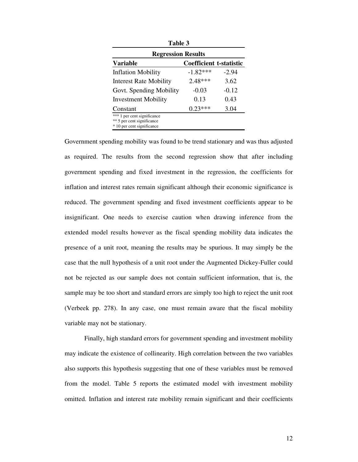| Table 3<br><b>Regression Results</b>                                                    |            |         |  |  |
|-----------------------------------------------------------------------------------------|------------|---------|--|--|
|                                                                                         |            |         |  |  |
| <b>Inflation Mobility</b>                                                               | $-1.82***$ | $-2.94$ |  |  |
| <b>Interest Rate Mobility</b>                                                           | $2.48***$  | 3.62    |  |  |
| Govt. Spending Mobility                                                                 | $-0.03$    | $-0.12$ |  |  |
| <b>Investment Mobility</b>                                                              | 0.13       | 0.43    |  |  |
| Constant                                                                                | $0.23***$  | 3.04    |  |  |
| *** 1 per cent significance<br>** 5 per cent significance<br>* 10 per cent significance |            |         |  |  |

Government spending mobility was found to be trend stationary and was thus adjusted as required. The results from the second regression show that after including government spending and fixed investment in the regression, the coefficients for inflation and interest rates remain significant although their economic significance is reduced. The government spending and fixed investment coefficients appear to be insignificant. One needs to exercise caution when drawing inference from the extended model results however as the fiscal spending mobility data indicates the presence of a unit root, meaning the results may be spurious. It may simply be the case that the null hypothesis of a unit root under the Augmented Dickey-Fuller could not be rejected as our sample does not contain sufficient information, that is, the sample may be too short and standard errors are simply too high to reject the unit root (Verbeek pp. 278). In any case, one must remain aware that the fiscal mobility variable may not be stationary.

Finally, high standard errors for government spending and investment mobility may indicate the existence of collinearity. High correlation between the two variables also supports this hypothesis suggesting that one of these variables must be removed from the model. Table 5 reports the estimated model with investment mobility omitted. Inflation and interest rate mobility remain significant and their coefficients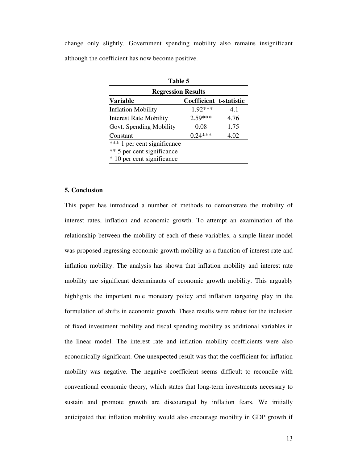change only slightly. Government spending mobility also remains insignificant although the coefficient has now become positive.

| Table 5                       |                         |        |  |  |
|-------------------------------|-------------------------|--------|--|--|
| <b>Regression Results</b>     |                         |        |  |  |
| <b>Variable</b>               | Coefficient t-statistic |        |  |  |
| <b>Inflation Mobility</b>     | $-1.92***$              | $-4.1$ |  |  |
| <b>Interest Rate Mobility</b> | 2.59***                 | 4.76   |  |  |
| Govt. Spending Mobility       | 0.08                    | 1.75   |  |  |
| Constant                      | $0.24***$               | 4.02   |  |  |
| *** 1 per cent significance   |                         |        |  |  |
| ** 5 per cent significance    |                         |        |  |  |
| * 10 per cent significance    |                         |        |  |  |

#### **5. Conclusion**

This paper has introduced a number of methods to demonstrate the mobility of interest rates, inflation and economic growth. To attempt an examination of the relationship between the mobility of each of these variables, a simple linear model was proposed regressing economic growth mobility as a function of interest rate and inflation mobility. The analysis has shown that inflation mobility and interest rate mobility are significant determinants of economic growth mobility. This arguably highlights the important role monetary policy and inflation targeting play in the formulation of shifts in economic growth. These results were robust for the inclusion of fixed investment mobility and fiscal spending mobility as additional variables in the linear model. The interest rate and inflation mobility coefficients were also economically significant. One unexpected result was that the coefficient for inflation mobility was negative. The negative coefficient seems difficult to reconcile with conventional economic theory, which states that long-term investments necessary to sustain and promote growth are discouraged by inflation fears. We initially anticipated that inflation mobility would also encourage mobility in GDP growth if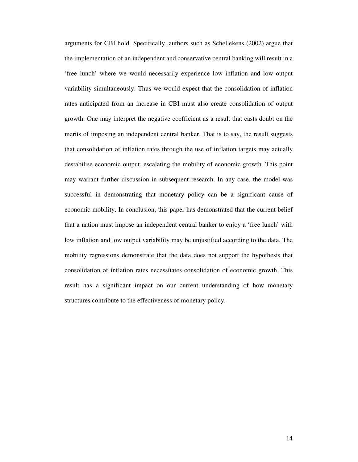arguments for CBI hold. Specifically, authors such as Schellekens (2002) argue that the implementation of an independent and conservative central banking will result in a 'free lunch' where we would necessarily experience low inflation and low output variability simultaneously. Thus we would expect that the consolidation of inflation rates anticipated from an increase in CBI must also create consolidation of output growth. One may interpret the negative coefficient as a result that casts doubt on the merits of imposing an independent central banker. That is to say, the result suggests that consolidation of inflation rates through the use of inflation targets may actually destabilise economic output, escalating the mobility of economic growth. This point may warrant further discussion in subsequent research. In any case, the model was successful in demonstrating that monetary policy can be a significant cause of economic mobility. In conclusion, this paper has demonstrated that the current belief that a nation must impose an independent central banker to enjoy a 'free lunch' with low inflation and low output variability may be unjustified according to the data. The mobility regressions demonstrate that the data does not support the hypothesis that consolidation of inflation rates necessitates consolidation of economic growth. This result has a significant impact on our current understanding of how monetary structures contribute to the effectiveness of monetary policy.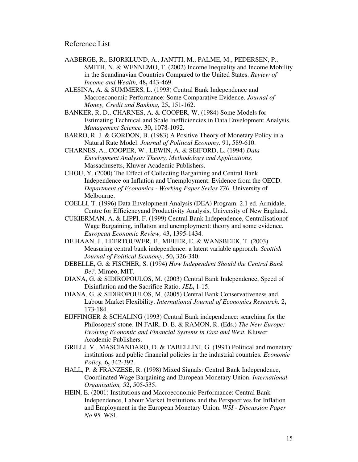### Reference List

- AABERGE, R., BJORKLUND, A., JANTTI, M., PALME, M., PEDERSEN, P., SMITH, N. & WENNEMO, T. (2002) Income Inequality and Income Mobility in the Scandinavian Countries Compared to the United States. *Review of Income and Wealth,* 48**,** 443-469.
- ALESINA, A. & SUMMERS, L. (1993) Central Bank Independence and Macroeconomic Performance: Some Comparative Evidence. *Journal of Money, Credit and Banking,* 25**,** 151-162.
- BANKER, R. D., CHARNES, A. & COOPER, W. (1984) Some Models for Estimating Technical and Scale Inefficiencies in Data Envelopment Analysis. *Management Science,* 30**,** 1078-1092.
- BARRO, R. J. & GORDON, B. (1983) A Positive Theory of Monetary Policy in a Natural Rate Model. *Journal of Political Economy,* 91**,** 589-610.
- CHARNES, A., COOPER, W., LEWIN, A. & SEIFORD, L. (1994) *Data Envelopment Analysis: Theory, Methodology and Applications,* Massachusetts, Kluwer Academic Publishers.
- CHOU, Y. (2000) The Effect of Collecting Bargaining and Central Bank Independence on Inflation and Unemployment: Evidence from the OECD. *Department of Economics - Working Paper Series 770.* University of Melbourne.
- COELLI, T. (1996) Data Envelopment Analysis (DEA) Program. 2.1 ed. Armidale, Centre for Efficiencyand Productivity Analysis, University of New England.
- CUKIERMAN, A. & LIPPI, F. (1999) Central Bank Independence, Centralisationof Wage Bargaining, inflation and unemployment: theory and some evidence. *European Economic Review,* 43**,** 1395-1434.
- DE HAAN, J., LEERTOUWER, E., MEIJER, E. & WANSBEEK, T. (2003) Measuring central bank independence: a latent variable approach. *Scottish Journal of Political Economy,* 50**,** 326-340.
- DEBELLE, G. & FISCHER, S. (1994) *How Independent Should the Central Bank Be?,* Mimeo, MIT.
- DIANA, G. & SIDIROPOULOS, M. (2003) Central Bank Independence, Speed of Disinflation and the Sacrifice Ratio. *JEL***,** 1-15.
- DIANA, G. & SIDIROPOULOS, M. (2005) Central Bank Conservativeness and Labour Market Flexibility. *International Journal of Economics Research,* 2**,** 173-184.
- EIJFFINGER & SCHALING (1993) Central Bank independence: searching for the Philosopers'stone. IN FAIR, D. E. & RAMON, R. (Eds.) *The New Europe: Evolving Economic and Financial Systems in East and West.* Kluwer Academic Publishers.
- GRILLI, V., MASCIANDARO, D. & TABELLINI, G. (1991) Political and monetary institutions and public financial policies in the industrial countries. *Economic Policy,* 6**,** 342-392.
- HALL, P. & FRANZESE, R. (1998) Mixed Signals: Central Bank Independence, Coordinated Wage Bargaining and European Monetary Union. *International Organization,* 52**,** 505-535.
- HEIN, E. (2001) Institutions and Macroeconomic Performance: Central Bank Independence, Labour Market Institutions and the Perspectives for Inflation and Employment in the European Monetary Union. *WSI - Discussion Paper No 95.* WSI.